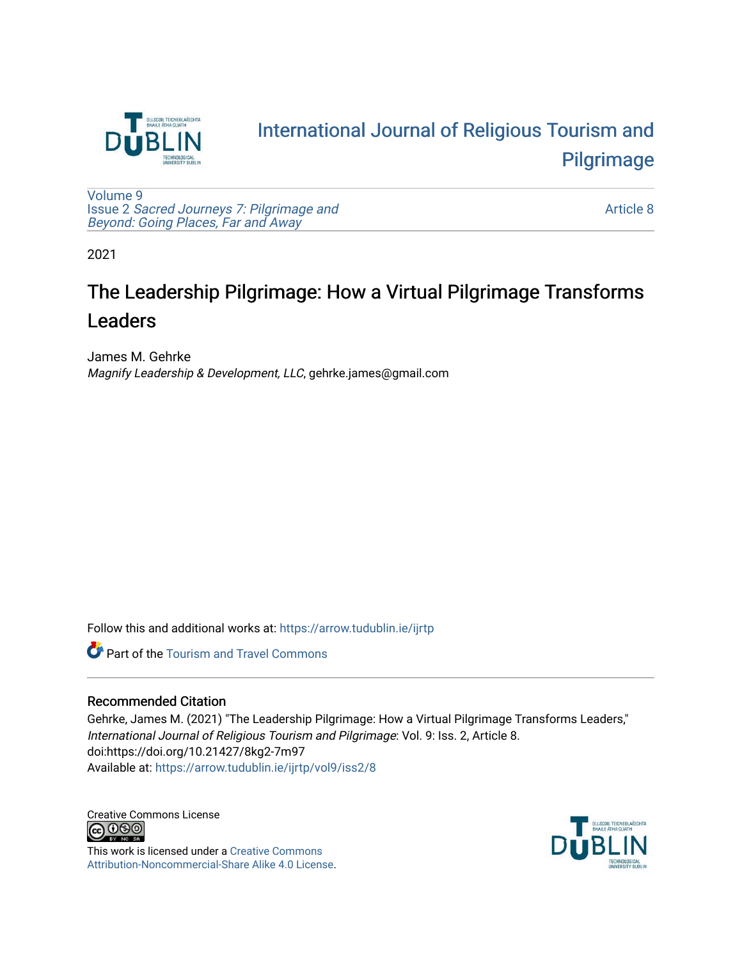

# [International Journal of Religious Tourism and](https://arrow.tudublin.ie/ijrtp)  [Pilgrimage](https://arrow.tudublin.ie/ijrtp)

[Volume 9](https://arrow.tudublin.ie/ijrtp/vol9) Issue 2 [Sacred Journeys 7: Pilgrimage and](https://arrow.tudublin.ie/ijrtp/vol9/iss2)  [Beyond: Going Places, Far and Away](https://arrow.tudublin.ie/ijrtp/vol9/iss2)

[Article 8](https://arrow.tudublin.ie/ijrtp/vol9/iss2/8) 

2021

# The Leadership Pilgrimage: How a Virtual Pilgrimage Transforms Leaders

James M. Gehrke Magnify Leadership & Development, LLC, gehrke.james@gmail.com

Follow this and additional works at: [https://arrow.tudublin.ie/ijrtp](https://arrow.tudublin.ie/ijrtp?utm_source=arrow.tudublin.ie%2Fijrtp%2Fvol9%2Fiss2%2F8&utm_medium=PDF&utm_campaign=PDFCoverPages)

**Part of the [Tourism and Travel Commons](http://network.bepress.com/hgg/discipline/1082?utm_source=arrow.tudublin.ie%2Fijrtp%2Fvol9%2Fiss2%2F8&utm_medium=PDF&utm_campaign=PDFCoverPages)** 

#### Recommended Citation

Gehrke, James M. (2021) "The Leadership Pilgrimage: How a Virtual Pilgrimage Transforms Leaders," International Journal of Religious Tourism and Pilgrimage: Vol. 9: Iss. 2, Article 8. doi:https://doi.org/10.21427/8kg2-7m97 Available at: [https://arrow.tudublin.ie/ijrtp/vol9/iss2/8](https://arrow.tudublin.ie/ijrtp/vol9/iss2/8?utm_source=arrow.tudublin.ie%2Fijrtp%2Fvol9%2Fiss2%2F8&utm_medium=PDF&utm_campaign=PDFCoverPages)

Creative Commons License<br>  $\bigcirc$  000

This work is licensed under a [Creative Commons](https://creativecommons.org/licenses/by-nc-sa/4.0/) [Attribution-Noncommercial-Share Alike 4.0 License](https://creativecommons.org/licenses/by-nc-sa/4.0/).

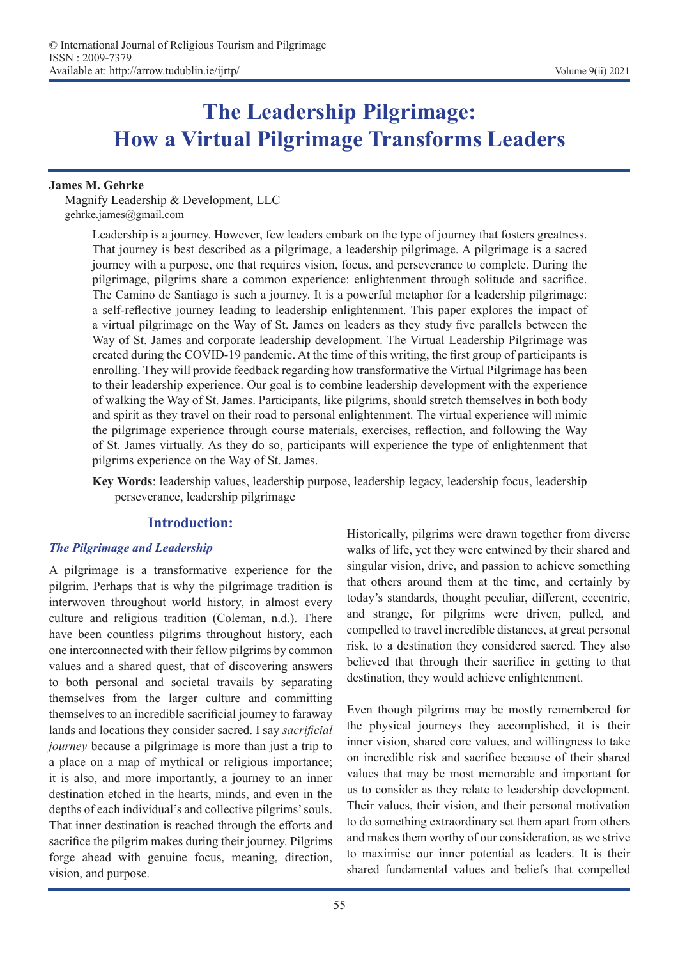# **The Leadership Pilgrimage: How a Virtual Pilgrimage Transforms Leaders**

#### **James M. Gehrke**

Magnify Leadership & Development, LLC gehrke.james@gmail.com

> Leadership is a journey. However, few leaders embark on the type of journey that fosters greatness. That journey is best described as a pilgrimage, a leadership pilgrimage. A pilgrimage is a sacred journey with a purpose, one that requires vision, focus, and perseverance to complete. During the pilgrimage, pilgrims share a common experience: enlightenment through solitude and sacrifice. The Camino de Santiago is such a journey. It is a powerful metaphor for a leadership pilgrimage: a self-reflective journey leading to leadership enlightenment. This paper explores the impact of a virtual pilgrimage on the Way of St. James on leaders as they study five parallels between the Way of St. James and corporate leadership development. The Virtual Leadership Pilgrimage was created during the COVID-19 pandemic. At the time of this writing, the first group of participants is enrolling. They will provide feedback regarding how transformative the Virtual Pilgrimage has been to their leadership experience. Our goal is to combine leadership development with the experience of walking the Way of St. James. Participants, like pilgrims, should stretch themselves in both body and spirit as they travel on their road to personal enlightenment. The virtual experience will mimic the pilgrimage experience through course materials, exercises, reflection, and following the Way of St. James virtually. As they do so, participants will experience the type of enlightenment that pilgrims experience on the Way of St. James.

> **Key Words**: leadership values, leadership purpose, leadership legacy, leadership focus, leadership perseverance, leadership pilgrimage

### **Introduction:**

#### *The Pilgrimage and Leadership*

A pilgrimage is a transformative experience for the pilgrim. Perhaps that is why the pilgrimage tradition is interwoven throughout world history, in almost every culture and religious tradition (Coleman, n.d.). There have been countless pilgrims throughout history, each one interconnected with their fellow pilgrims by common values and a shared quest, that of discovering answers to both personal and societal travails by separating themselves from the larger culture and committing themselves to an incredible sacrificial journey to faraway lands and locations they consider sacred. I say *sacrificial journey* because a pilgrimage is more than just a trip to a place on a map of mythical or religious importance; it is also, and more importantly, a journey to an inner destination etched in the hearts, minds, and even in the depths of each individual's and collective pilgrims' souls. That inner destination is reached through the efforts and sacrifice the pilgrim makes during their journey. Pilgrims forge ahead with genuine focus, meaning, direction, vision, and purpose.

Historically, pilgrims were drawn together from diverse walks of life, yet they were entwined by their shared and singular vision, drive, and passion to achieve something that others around them at the time, and certainly by today's standards, thought peculiar, different, eccentric, and strange, for pilgrims were driven, pulled, and compelled to travel incredible distances, at great personal risk, to a destination they considered sacred. They also believed that through their sacrifice in getting to that destination, they would achieve enlightenment.

Even though pilgrims may be mostly remembered for the physical journeys they accomplished, it is their inner vision, shared core values, and willingness to take on incredible risk and sacrifice because of their shared values that may be most memorable and important for us to consider as they relate to leadership development. Their values, their vision, and their personal motivation to do something extraordinary set them apart from others and makes them worthy of our consideration, as we strive to maximise our inner potential as leaders. It is their shared fundamental values and beliefs that compelled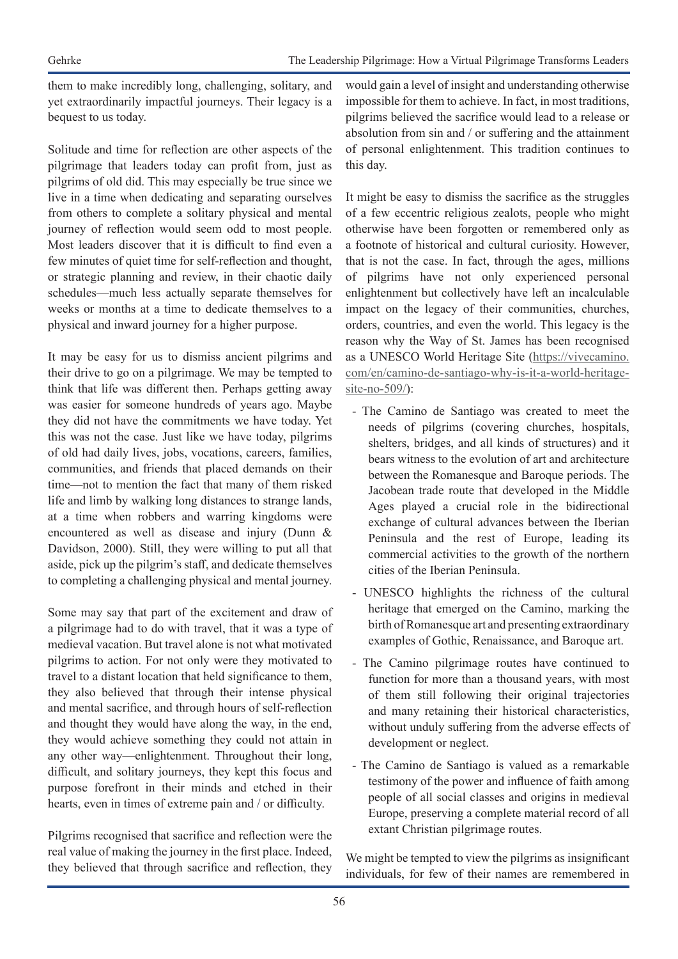them to make incredibly long, challenging, solitary, and yet extraordinarily impactful journeys. Their legacy is a bequest to us today.

Solitude and time for reflection are other aspects of the pilgrimage that leaders today can profit from, just as pilgrims of old did. This may especially be true since we live in a time when dedicating and separating ourselves from others to complete a solitary physical and mental journey of reflection would seem odd to most people. Most leaders discover that it is difficult to find even a few minutes of quiet time for self-reflection and thought, or strategic planning and review, in their chaotic daily schedules—much less actually separate themselves for weeks or months at a time to dedicate themselves to a physical and inward journey for a higher purpose.

It may be easy for us to dismiss ancient pilgrims and their drive to go on a pilgrimage. We may be tempted to think that life was different then. Perhaps getting away was easier for someone hundreds of years ago. Maybe they did not have the commitments we have today. Yet this was not the case. Just like we have today, pilgrims of old had daily lives, jobs, vocations, careers, families, communities, and friends that placed demands on their time—not to mention the fact that many of them risked life and limb by walking long distances to strange lands, at a time when robbers and warring kingdoms were encountered as well as disease and injury (Dunn & Davidson, 2000). Still, they were willing to put all that aside, pick up the pilgrim's staff, and dedicate themselves to completing a challenging physical and mental journey.

Some may say that part of the excitement and draw of a pilgrimage had to do with travel, that it was a type of medieval vacation. But travel alone is not what motivated pilgrims to action. For not only were they motivated to travel to a distant location that held significance to them, they also believed that through their intense physical and mental sacrifice, and through hours of self-reflection and thought they would have along the way, in the end, they would achieve something they could not attain in any other way—enlightenment. Throughout their long, difficult, and solitary journeys, they kept this focus and purpose forefront in their minds and etched in their hearts, even in times of extreme pain and / or difficulty.

Pilgrims recognised that sacrifice and reflection were the real value of making the journey in the first place. Indeed, they believed that through sacrifice and reflection, they

would gain a level of insight and understanding otherwise impossible for them to achieve. In fact, in most traditions, pilgrims believed the sacrifice would lead to a release or absolution from sin and / or suffering and the attainment of personal enlightenment. This tradition continues to this day.

It might be easy to dismiss the sacrifice as the struggles of a few eccentric religious zealots, people who might otherwise have been forgotten or remembered only as a footnote of historical and cultural curiosity. However, that is not the case. In fact, through the ages, millions of pilgrims have not only experienced personal enlightenment but collectively have left an incalculable impact on the legacy of their communities, churches, orders, countries, and even the world. This legacy is the reason why the Way of St. James has been recognised as a UNESCO World Heritage Site (https://vivecamino. com/en/camino-de-santiago-why-is-it-a-world-heritagesite-no-509/):

- The Camino de Santiago was created to meet the needs of pilgrims (covering churches, hospitals, shelters, bridges, and all kinds of structures) and it bears witness to the evolution of art and architecture between the Romanesque and Baroque periods. The Jacobean trade route that developed in the Middle Ages played a crucial role in the bidirectional exchange of cultural advances between the Iberian Peninsula and the rest of Europe, leading its commercial activities to the growth of the northern cities of the Iberian Peninsula.
- UNESCO highlights the richness of the cultural heritage that emerged on the Camino, marking the birth of Romanesque art and presenting extraordinary examples of Gothic, Renaissance, and Baroque art.
- The Camino pilgrimage routes have continued to function for more than a thousand years, with most of them still following their original trajectories and many retaining their historical characteristics, without unduly suffering from the adverse effects of development or neglect.
- The Camino de Santiago is valued as a remarkable testimony of the power and influence of faith among people of all social classes and origins in medieval Europe, preserving a complete material record of all extant Christian pilgrimage routes.

We might be tempted to view the pilgrims as insignificant individuals, for few of their names are remembered in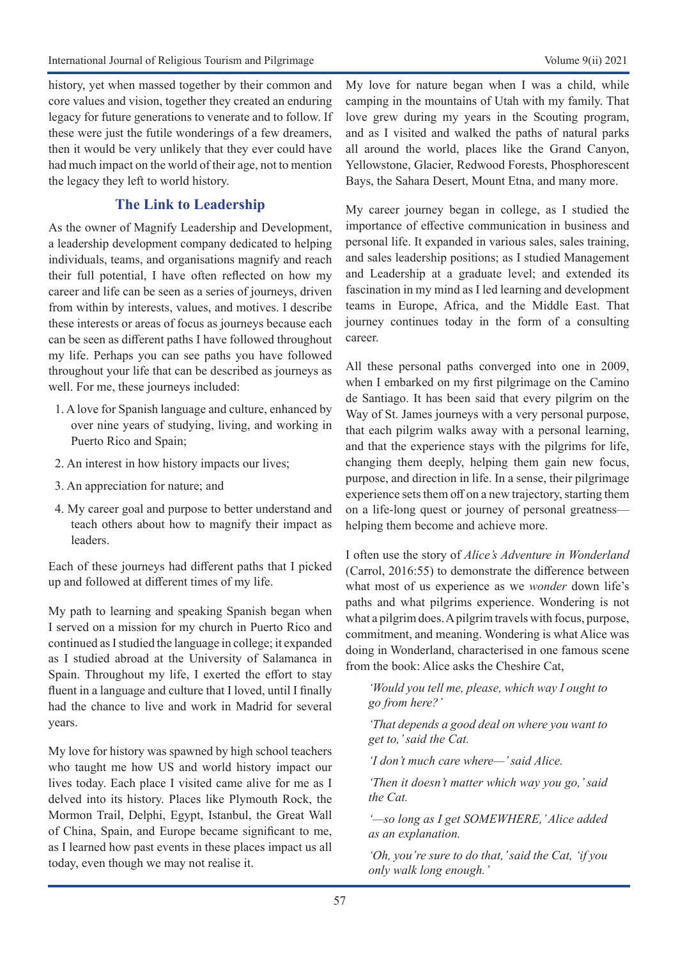history, yet when massed together by their common and core values and vision, together they created an enduring legacy for future generations to venerate and to follow. If these were just the futile wonderings of a few dreamers, then it would be very unlikely that they ever could have had much impact on the world of their age, not to mention the legacy they left to world history.

# **The Link to Leadership**

As the owner of Magnify Leadership and Development, a leadership development company dedicated to helping individuals, teams, and organisations magnify and reach their full potential, I have often reflected on how my career and life can be seen as a series of journeys, driven from within by interests, values, and motives. I describe these interests or areas of focus as journeys because each can be seen as different paths I have followed throughout my life. Perhaps you can see paths you have followed throughout your life that can be described as journeys as well. For me, these journeys included:

- 1. A love for Spanish language and culture, enhanced by over nine years of studying, living, and working in Puerto Rico and Spain;
- 2. An interest in how history impacts our lives;
- 3. An appreciation for nature; and
- 4. My career goal and purpose to better understand and teach others about how to magnify their impact as leaders.

Each of these journeys had different paths that I picked up and followed at different times of my life.

My path to learning and speaking Spanish began when I served on a mission for my church in Puerto Rico and continued as I studied the language in college; it expanded as I studied abroad at the University of Salamanca in Spain. Throughout my life, I exerted the effort to stay fluent in a language and culture that I loved, until I finally had the chance to live and work in Madrid for several years.

My love for history was spawned by high school teachers who taught me how US and world history impact our lives today. Each place I visited came alive for me as I delved into its history. Places like Plymouth Rock, the Mormon Trail, Delphi, Egypt, Istanbul, the Great Wall of China, Spain, and Europe became significant to me, as I learned how past events in these places impact us all today, even though we may not realise it.

My love for nature began when I was a child, while camping in the mountains of Utah with my family. That love grew during my years in the Scouting program, and as I visited and walked the paths of natural parks all around the world, places like the Grand Canyon, Yellowstone, Glacier, Redwood Forests, Phosphorescent Bays, the Sahara Desert, Mount Etna, and many more.

My career journey began in college, as I studied the importance of effective communication in business and personal life. It expanded in various sales, sales training, and sales leadership positions; as I studied Management and Leadership at a graduate level; and extended its fascination in my mind as I led learning and development teams in Europe, Africa, and the Middle East. That journey continues today in the form of a consulting career.

All these personal paths converged into one in 2009, when I embarked on my first pilgrimage on the Camino de Santiago. It has been said that every pilgrim on the Way of St. James journeys with a very personal purpose, that each pilgrim walks away with a personal learning, and that the experience stays with the pilgrims for life, changing them deeply, helping them gain new focus, purpose, and direction in life. In a sense, their pilgrimage experience sets them off on a new trajectory, starting them on a life-long quest or journey of personal greatness helping them become and achieve more.

I often use the story of *Alice's Adventure in Wonderland* (Carrol, 2016:55) to demonstrate the difference between what most of us experience as we *wonder* down life's paths and what pilgrims experience. Wondering is not what a pilgrim does. A pilgrim travels with focus, purpose, commitment, and meaning. Wondering is what Alice was doing in Wonderland, characterised in one famous scene from the book: Alice asks the Cheshire Cat,

*'Would you tell me, please, which way I ought to go from here?'*

*'That depends a good deal on where you want to get to,' said the Cat.*

*'I don't much care where—' said Alice.* 

*'Then it doesn't matter which way you go,' said the Cat.*

*'—so long as I get SOMEWHERE,' Alice added as an explanation.*

*'Oh, you're sure to do that,' said the Cat, 'if you only walk long enough.'*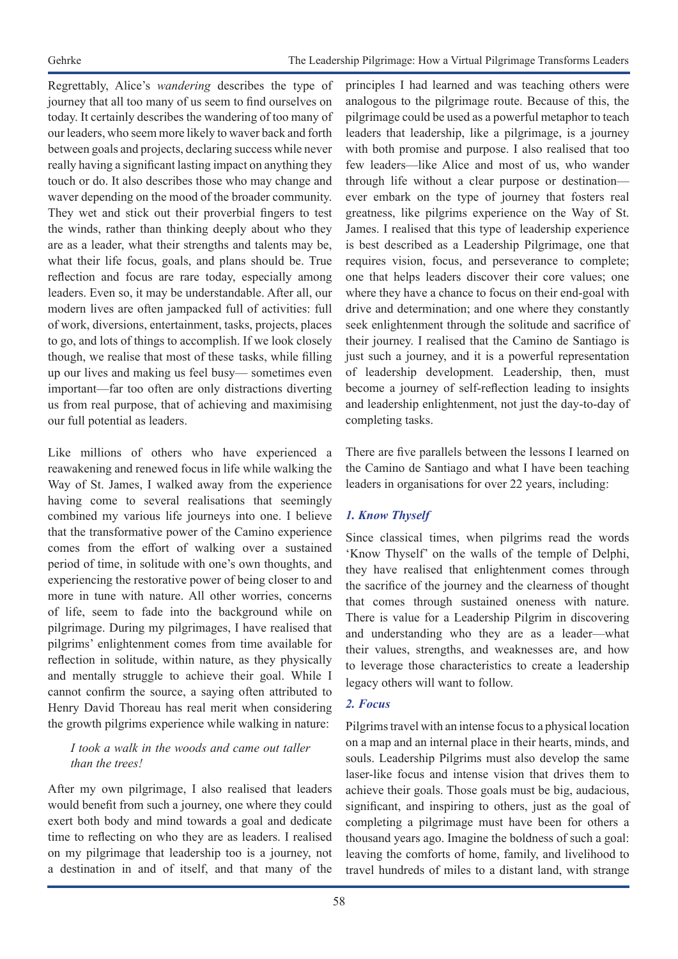Regrettably, Alice's *wandering* describes the type of journey that all too many of us seem to find ourselves on today. It certainly describes the wandering of too many of our leaders, who seem more likely to waver back and forth between goals and projects, declaring success while never really having a significant lasting impact on anything they touch or do. It also describes those who may change and waver depending on the mood of the broader community. They wet and stick out their proverbial fingers to test the winds, rather than thinking deeply about who they are as a leader, what their strengths and talents may be, what their life focus, goals, and plans should be. True reflection and focus are rare today, especially among leaders. Even so, it may be understandable. After all, our modern lives are often jampacked full of activities: full of work, diversions, entertainment, tasks, projects, places to go, and lots of things to accomplish. If we look closely though, we realise that most of these tasks, while filling up our lives and making us feel busy— sometimes even important—far too often are only distractions diverting us from real purpose, that of achieving and maximising our full potential as leaders.

Like millions of others who have experienced a reawakening and renewed focus in life while walking the Way of St. James, I walked away from the experience having come to several realisations that seemingly combined my various life journeys into one. I believe that the transformative power of the Camino experience comes from the effort of walking over a sustained period of time, in solitude with one's own thoughts, and experiencing the restorative power of being closer to and more in tune with nature. All other worries, concerns of life, seem to fade into the background while on pilgrimage. During my pilgrimages, I have realised that pilgrims' enlightenment comes from time available for reflection in solitude, within nature, as they physically and mentally struggle to achieve their goal. While I cannot confirm the source, a saying often attributed to Henry David Thoreau has real merit when considering the growth pilgrims experience while walking in nature:

#### *I took a walk in the woods and came out taller than the trees!*

After my own pilgrimage, I also realised that leaders would benefit from such a journey, one where they could exert both body and mind towards a goal and dedicate time to reflecting on who they are as leaders. I realised on my pilgrimage that leadership too is a journey, not a destination in and of itself, and that many of the

principles I had learned and was teaching others were analogous to the pilgrimage route. Because of this, the pilgrimage could be used as a powerful metaphor to teach leaders that leadership, like a pilgrimage, is a journey with both promise and purpose. I also realised that too few leaders—like Alice and most of us, who wander through life without a clear purpose or destination ever embark on the type of journey that fosters real greatness, like pilgrims experience on the Way of St. James. I realised that this type of leadership experience is best described as a Leadership Pilgrimage, one that requires vision, focus, and perseverance to complete; one that helps leaders discover their core values; one where they have a chance to focus on their end-goal with drive and determination; and one where they constantly seek enlightenment through the solitude and sacrifice of their journey. I realised that the Camino de Santiago is just such a journey, and it is a powerful representation of leadership development. Leadership, then, must become a journey of self-reflection leading to insights and leadership enlightenment, not just the day-to-day of completing tasks.

There are five parallels between the lessons I learned on the Camino de Santiago and what I have been teaching leaders in organisations for over 22 years, including:

# *1. Know Thyself*

Since classical times, when pilgrims read the words 'Know Thyself' on the walls of the temple of Delphi, they have realised that enlightenment comes through the sacrifice of the journey and the clearness of thought that comes through sustained oneness with nature. There is value for a Leadership Pilgrim in discovering and understanding who they are as a leader—what their values, strengths, and weaknesses are, and how to leverage those characteristics to create a leadership legacy others will want to follow.

### *2. Focus*

Pilgrims travel with an intense focus to a physical location on a map and an internal place in their hearts, minds, and souls. Leadership Pilgrims must also develop the same laser-like focus and intense vision that drives them to achieve their goals. Those goals must be big, audacious, significant, and inspiring to others, just as the goal of completing a pilgrimage must have been for others a thousand years ago. Imagine the boldness of such a goal: leaving the comforts of home, family, and livelihood to travel hundreds of miles to a distant land, with strange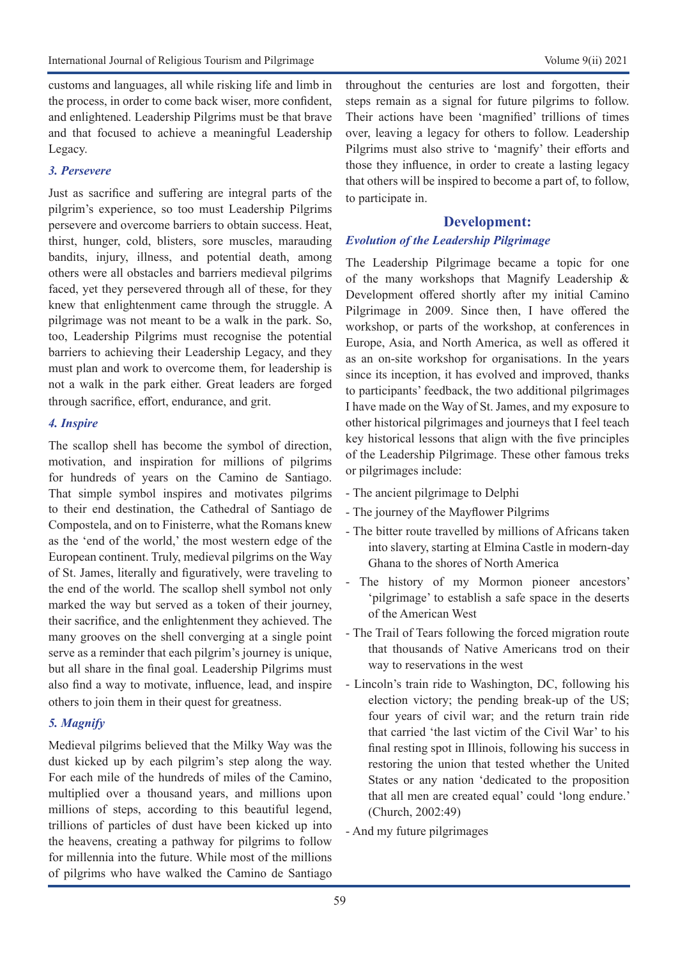customs and languages, all while risking life and limb in the process, in order to come back wiser, more confident, and enlightened. Leadership Pilgrims must be that brave and that focused to achieve a meaningful Leadership Legacy.

#### *3. Persevere*

Just as sacrifice and suffering are integral parts of the pilgrim's experience, so too must Leadership Pilgrims persevere and overcome barriers to obtain success. Heat, thirst, hunger, cold, blisters, sore muscles, marauding bandits, injury, illness, and potential death, among others were all obstacles and barriers medieval pilgrims faced, yet they persevered through all of these, for they knew that enlightenment came through the struggle. A pilgrimage was not meant to be a walk in the park. So, too, Leadership Pilgrims must recognise the potential barriers to achieving their Leadership Legacy, and they must plan and work to overcome them, for leadership is not a walk in the park either. Great leaders are forged through sacrifice, effort, endurance, and grit.

#### *4. Inspire*

The scallop shell has become the symbol of direction, motivation, and inspiration for millions of pilgrims for hundreds of years on the Camino de Santiago. That simple symbol inspires and motivates pilgrims to their end destination, the Cathedral of Santiago de Compostela, and on to Finisterre, what the Romans knew as the 'end of the world,' the most western edge of the European continent. Truly, medieval pilgrims on the Way of St. James, literally and figuratively, were traveling to the end of the world. The scallop shell symbol not only marked the way but served as a token of their journey, their sacrifice, and the enlightenment they achieved. The many grooves on the shell converging at a single point serve as a reminder that each pilgrim's journey is unique, but all share in the final goal. Leadership Pilgrims must also find a way to motivate, influence, lead, and inspire others to join them in their quest for greatness.

#### *5. Magnify*

Medieval pilgrims believed that the Milky Way was the dust kicked up by each pilgrim's step along the way. For each mile of the hundreds of miles of the Camino, multiplied over a thousand years, and millions upon millions of steps, according to this beautiful legend, trillions of particles of dust have been kicked up into the heavens, creating a pathway for pilgrims to follow for millennia into the future. While most of the millions of pilgrims who have walked the Camino de Santiago

throughout the centuries are lost and forgotten, their steps remain as a signal for future pilgrims to follow. Their actions have been 'magnified' trillions of times over, leaving a legacy for others to follow. Leadership Pilgrims must also strive to 'magnify' their efforts and those they influence, in order to create a lasting legacy that others will be inspired to become a part of, to follow, to participate in.

#### **Development:**

#### *Evolution of the Leadership Pilgrimage*

The Leadership Pilgrimage became a topic for one of the many workshops that Magnify Leadership & Development offered shortly after my initial Camino Pilgrimage in 2009. Since then, I have offered the workshop, or parts of the workshop, at conferences in Europe, Asia, and North America, as well as offered it as an on-site workshop for organisations. In the years since its inception, it has evolved and improved, thanks to participants' feedback, the two additional pilgrimages I have made on the Way of St. James, and my exposure to other historical pilgrimages and journeys that I feel teach key historical lessons that align with the five principles of the Leadership Pilgrimage. These other famous treks or pilgrimages include:

- The ancient pilgrimage to Delphi
- The journey of the Mayflower Pilgrims
- The bitter route travelled by millions of Africans taken into slavery, starting at Elmina Castle in modern-day Ghana to the shores of North America
- The history of my Mormon pioneer ancestors' 'pilgrimage' to establish a safe space in the deserts of the American West
- The Trail of Tears following the forced migration route that thousands of Native Americans trod on their way to reservations in the west
- Lincoln's train ride to Washington, DC, following his election victory; the pending break-up of the US; four years of civil war; and the return train ride that carried 'the last victim of the Civil War' to his final resting spot in Illinois, following his success in restoring the union that tested whether the United States or any nation 'dedicated to the proposition that all men are created equal' could 'long endure.' (Church, 2002:49)
- And my future pilgrimages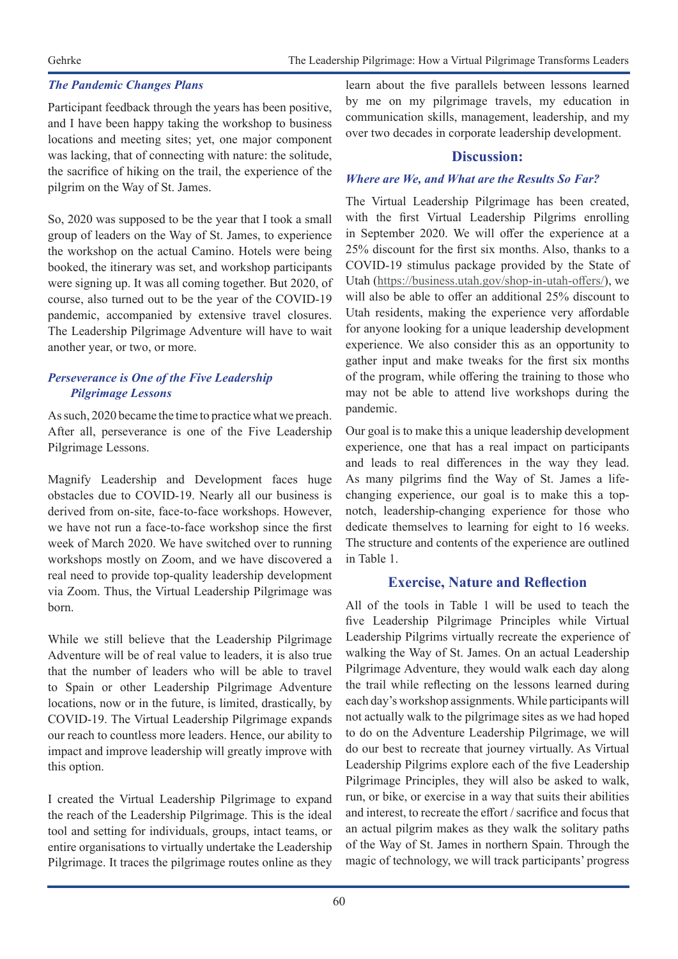#### *The Pandemic Changes Plans*

Participant feedback through the years has been positive, and I have been happy taking the workshop to business locations and meeting sites; yet, one major component was lacking, that of connecting with nature: the solitude, the sacrifice of hiking on the trail, the experience of the pilgrim on the Way of St. James.

So, 2020 was supposed to be the year that I took a small group of leaders on the Way of St. James, to experience the workshop on the actual Camino. Hotels were being booked, the itinerary was set, and workshop participants were signing up. It was all coming together. But 2020, of course, also turned out to be the year of the COVID-19 pandemic, accompanied by extensive travel closures. The Leadership Pilgrimage Adventure will have to wait another year, or two, or more.

#### *Perseverance is One of the Five Leadership Pilgrimage Lessons*

As such, 2020 became the time to practice what we preach. After all, perseverance is one of the Five Leadership Pilgrimage Lessons.

Magnify Leadership and Development faces huge obstacles due to COVID-19. Nearly all our business is derived from on-site, face-to-face workshops. However, we have not run a face-to-face workshop since the first week of March 2020. We have switched over to running workshops mostly on Zoom, and we have discovered a real need to provide top-quality leadership development via Zoom. Thus, the Virtual Leadership Pilgrimage was born.

While we still believe that the Leadership Pilgrimage Adventure will be of real value to leaders, it is also true that the number of leaders who will be able to travel to Spain or other Leadership Pilgrimage Adventure locations, now or in the future, is limited, drastically, by COVID-19. The Virtual Leadership Pilgrimage expands our reach to countless more leaders. Hence, our ability to impact and improve leadership will greatly improve with this option.

I created the Virtual Leadership Pilgrimage to expand the reach of the Leadership Pilgrimage. This is the ideal tool and setting for individuals, groups, intact teams, or entire organisations to virtually undertake the Leadership Pilgrimage. It traces the pilgrimage routes online as they

learn about the five parallels between lessons learned by me on my pilgrimage travels, my education in communication skills, management, leadership, and my over two decades in corporate leadership development.

#### **Discussion:**

#### *Where are We, and What are the Results So Far?*

The Virtual Leadership Pilgrimage has been created, with the first Virtual Leadership Pilgrims enrolling in September 2020. We will offer the experience at a 25% discount for the first six months. Also, thanks to a COVID-19 stimulus package provided by the State of Utah (https://business.utah.gov/shop-in-utah-offers/), we will also be able to offer an additional 25% discount to Utah residents, making the experience very affordable for anyone looking for a unique leadership development experience. We also consider this as an opportunity to gather input and make tweaks for the first six months of the program, while offering the training to those who may not be able to attend live workshops during the pandemic.

Our goal is to make this a unique leadership development experience, one that has a real impact on participants and leads to real differences in the way they lead. As many pilgrims find the Way of St. James a lifechanging experience, our goal is to make this a topnotch, leadership-changing experience for those who dedicate themselves to learning for eight to 16 weeks. The structure and contents of the experience are outlined in Table 1.

### **Exercise, Nature and Reflection**

All of the tools in Table 1 will be used to teach the five Leadership Pilgrimage Principles while Virtual Leadership Pilgrims virtually recreate the experience of walking the Way of St. James. On an actual Leadership Pilgrimage Adventure, they would walk each day along the trail while reflecting on the lessons learned during each day's workshop assignments. While participants will not actually walk to the pilgrimage sites as we had hoped to do on the Adventure Leadership Pilgrimage, we will do our best to recreate that journey virtually. As Virtual Leadership Pilgrims explore each of the five Leadership Pilgrimage Principles, they will also be asked to walk, run, or bike, or exercise in a way that suits their abilities and interest, to recreate the effort / sacrifice and focus that an actual pilgrim makes as they walk the solitary paths of the Way of St. James in northern Spain. Through the magic of technology, we will track participants' progress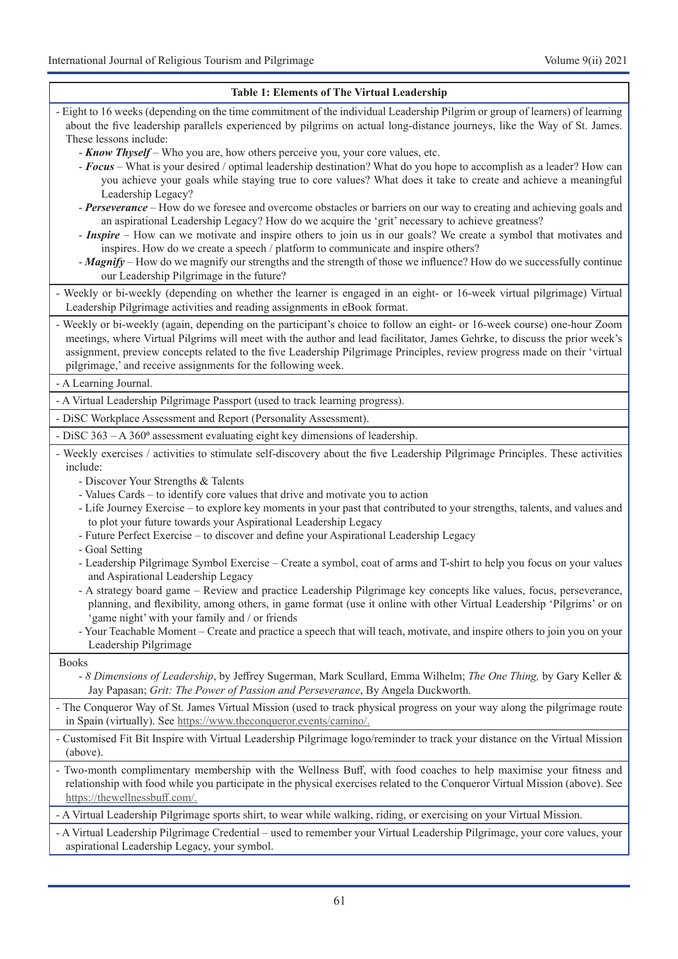| <b>Table 1: Elements of The Virtual Leadership</b>                                                                                                                                                                                                                                                                                                                                                                                                                                                                                                                                                   |
|------------------------------------------------------------------------------------------------------------------------------------------------------------------------------------------------------------------------------------------------------------------------------------------------------------------------------------------------------------------------------------------------------------------------------------------------------------------------------------------------------------------------------------------------------------------------------------------------------|
| - Eight to 16 weeks (depending on the time commitment of the individual Leadership Pilgrim or group of learners) of learning<br>about the five leadership parallels experienced by pilgrims on actual long-distance journeys, like the Way of St. James.<br>These lessons include:                                                                                                                                                                                                                                                                                                                   |
| - <b>Know Thyself</b> – Who you are, how others perceive you, your core values, etc.<br>- Focus – What is your desired / optimal leadership destination? What do you hope to accomplish as a leader? How can<br>you achieve your goals while staying true to core values? What does it take to create and achieve a meaningful<br>Leadership Legacy?                                                                                                                                                                                                                                                 |
| - Perseverance – How do we foresee and overcome obstacles or barriers on our way to creating and achieving goals and<br>an aspirational Leadership Legacy? How do we acquire the 'grit' necessary to achieve greatness?<br>- Inspire - How can we motivate and inspire others to join us in our goals? We create a symbol that motivates and<br>inspires. How do we create a speech / platform to communicate and inspire others?<br>- Magnify – How do we magnify our strengths and the strength of those we influence? How do we successfully continue<br>our Leadership Pilgrimage in the future? |
| - Weekly or bi-weekly (depending on whether the learner is engaged in an eight- or 16-week virtual pilgrimage) Virtual<br>Leadership Pilgrimage activities and reading assignments in eBook format.                                                                                                                                                                                                                                                                                                                                                                                                  |
| - Weekly or bi-weekly (again, depending on the participant's choice to follow an eight- or 16-week course) one-hour Zoom<br>meetings, where Virtual Pilgrims will meet with the author and lead facilitator, James Gehrke, to discuss the prior week's<br>assignment, preview concepts related to the five Leadership Pilgrimage Principles, review progress made on their 'virtual<br>pilgrimage,' and receive assignments for the following week.                                                                                                                                                  |
| - A Learning Journal.                                                                                                                                                                                                                                                                                                                                                                                                                                                                                                                                                                                |
| - A Virtual Leadership Pilgrimage Passport (used to track learning progress).                                                                                                                                                                                                                                                                                                                                                                                                                                                                                                                        |
| - DiSC Workplace Assessment and Report (Personality Assessment).                                                                                                                                                                                                                                                                                                                                                                                                                                                                                                                                     |
| - DiSC 363 - A 360° assessment evaluating eight key dimensions of leadership.                                                                                                                                                                                                                                                                                                                                                                                                                                                                                                                        |
| - Weekly exercises / activities to stimulate self-discovery about the five Leadership Pilgrimage Principles. These activities<br>include:                                                                                                                                                                                                                                                                                                                                                                                                                                                            |
| - Discover Your Strengths & Talents<br>- Values Cards – to identify core values that drive and motivate you to action<br>- Life Journey Exercise – to explore key moments in your past that contributed to your strengths, talents, and values and<br>to plot your future towards your Aspirational Leadership Legacy<br>- Future Perfect Exercise - to discover and define your Aspirational Leadership Legacy<br>- Goal Setting                                                                                                                                                                    |
| - Leadership Pilgrimage Symbol Exercise - Create a symbol, coat of arms and T-shirt to help you focus on your values<br>and Aspirational Leadership Legacy                                                                                                                                                                                                                                                                                                                                                                                                                                           |
| - A strategy board game - Review and practice Leadership Pilgrimage key concepts like values, focus, perseverance,<br>planning, and flexibility, among others, in game format (use it online with other Virtual Leadership 'Pilgrims' or on<br>'game night' with your family and / or friends                                                                                                                                                                                                                                                                                                        |
| - Your Teachable Moment – Create and practice a speech that will teach, motivate, and inspire others to join you on your<br>Leadership Pilgrimage                                                                                                                                                                                                                                                                                                                                                                                                                                                    |
| <b>Books</b><br>- 8 Dimensions of Leadership, by Jeffrey Sugerman, Mark Scullard, Emma Wilhelm; The One Thing, by Gary Keller &<br>Jay Papasan; Grit: The Power of Passion and Perseverance, By Angela Duckworth.                                                                                                                                                                                                                                                                                                                                                                                    |
| - The Conqueror Way of St. James Virtual Mission (used to track physical progress on your way along the pilgrimage route<br>in Spain (virtually). See https://www.theconqueror.events/camino/.                                                                                                                                                                                                                                                                                                                                                                                                       |
| - Customised Fit Bit Inspire with Virtual Leadership Pilgrimage logo/reminder to track your distance on the Virtual Mission<br>(above).                                                                                                                                                                                                                                                                                                                                                                                                                                                              |
| - Two-month complimentary membership with the Wellness Buff, with food coaches to help maximise your fitness and<br>relationship with food while you participate in the physical exercises related to the Conqueror Virtual Mission (above). See<br>https://thewellnessbuff.com/.                                                                                                                                                                                                                                                                                                                    |
| - A Virtual Leadership Pilgrimage sports shirt, to wear while walking, riding, or exercising on your Virtual Mission.                                                                                                                                                                                                                                                                                                                                                                                                                                                                                |
| A Vietnal Loadambia Dilayimaas Cuadantial vaad to namambaa vavu Vietnal Loadambia Dilayima                                                                                                                                                                                                                                                                                                                                                                                                                                                                                                           |

- A Virtual Leadership Pilgrimage Credential – used to remember your Virtual Leadership Pilgrimage, your core values, your aspirational Leadership Legacy, your symbol.